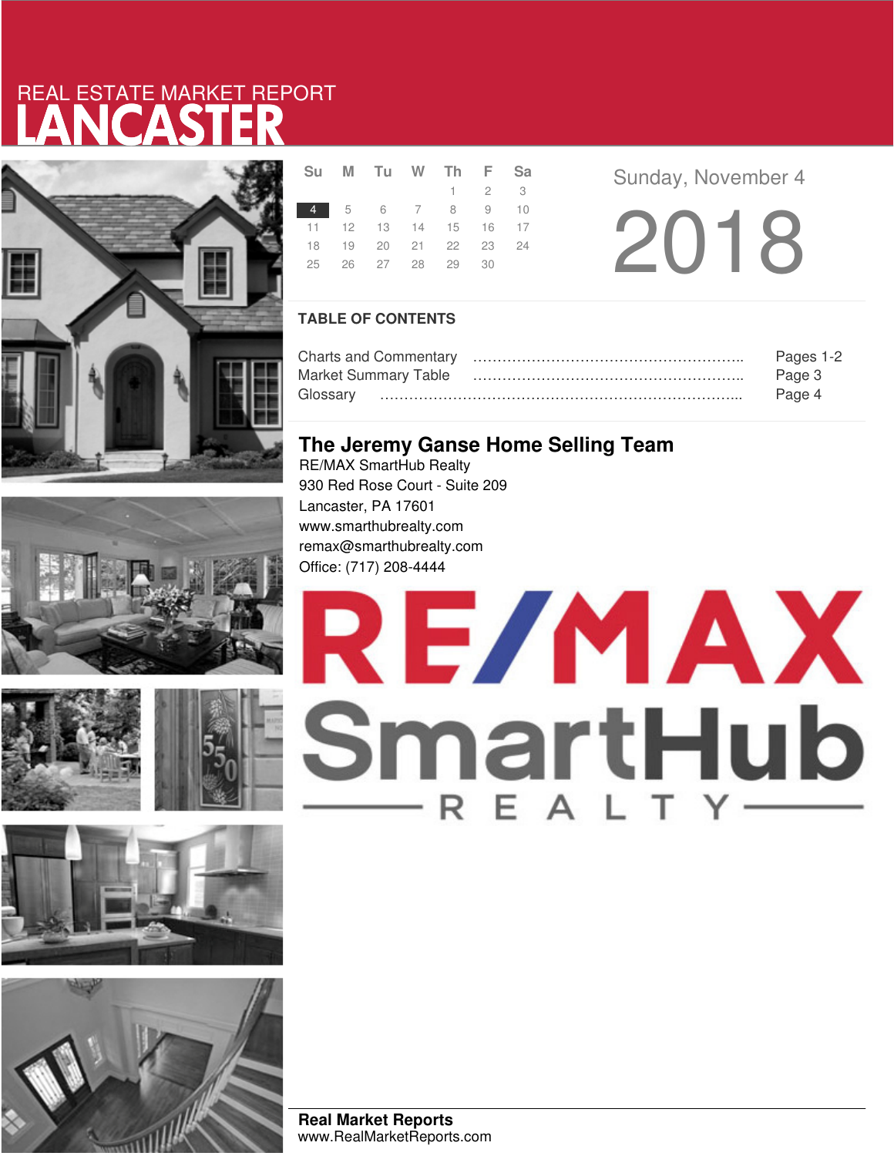# LANCASTER REAL ESTATE MARKET REPORT











|    | Su M Tu W Th F Sa          |  |                     |  |
|----|----------------------------|--|---------------------|--|
|    |                            |  | $1 \quad 2 \quad 3$ |  |
|    | 4 5 6 7 8 9 10             |  |                     |  |
|    | 11  12  13  14  15  16  17 |  |                     |  |
|    | 18 19 20 21 22 23 24       |  |                     |  |
| 25 | 26 27 28 29 30             |  |                     |  |
|    |                            |  |                     |  |

**Sunday, November 4** 

2018

### **TABLE OF CONTENTS**

|                             | Pages 1-2 |
|-----------------------------|-----------|
| <b>Market Summary Table</b> | Page 3    |
|                             | Page 4    |

### **The Jeremy Ganse Home Selling Team**

RE/MAX SmartHub Realty 930 Red Rose Court - Suite 209 Lancaster, PA 17601 www.smarthubrealty.com remax@smarthubrealty.com Office: (717) 208-4444



**Real Market Reports** www.RealMarketReports.com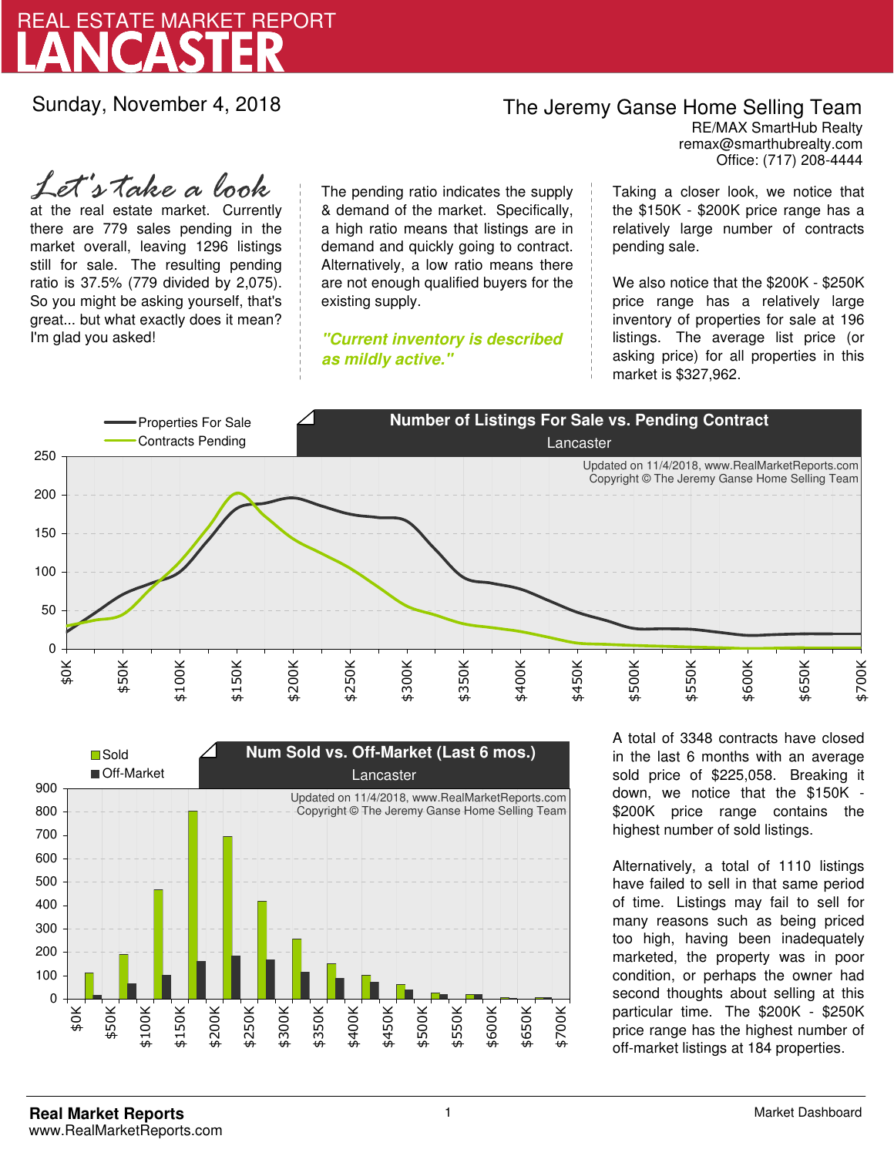

Sunday, November 4, 2018

## The Jeremy Ganse Home Selling Team

remax@smarthubrealty.com RE/MAX SmartHub Realty Office: (717) 208-4444

at the real estate market. Currently there are 779 sales pending in the market overall, leaving 1296 listings still for sale. The resulting pending ratio is 37.5% (779 divided by 2,075). So you might be asking yourself, that's great... but what exactly does it mean? I'm glad you asked! *Let's take a look*

The pending ratio indicates the supply & demand of the market. Specifically, a high ratio means that listings are in demand and quickly going to contract. Alternatively, a low ratio means there are not enough qualified buyers for the existing supply.

**"Current inventory is described as mildly active."**

Taking a closer look, we notice that the \$150K - \$200K price range has a relatively large number of contracts pending sale.

We also notice that the \$200K - \$250K price range has a relatively large inventory of properties for sale at 196 listings. The average list price (or asking price) for all properties in this market is \$327,962.





A total of 3348 contracts have closed in the last 6 months with an average sold price of \$225,058. Breaking it down, we notice that the \$150K - \$200K price range contains the highest number of sold listings.

Alternatively, a total of 1110 listings have failed to sell in that same period of time. Listings may fail to sell for many reasons such as being priced too high, having been inadequately marketed, the property was in poor condition, or perhaps the owner had second thoughts about selling at this particular time. The \$200K - \$250K price range has the highest number of off-market listings at 184 properties.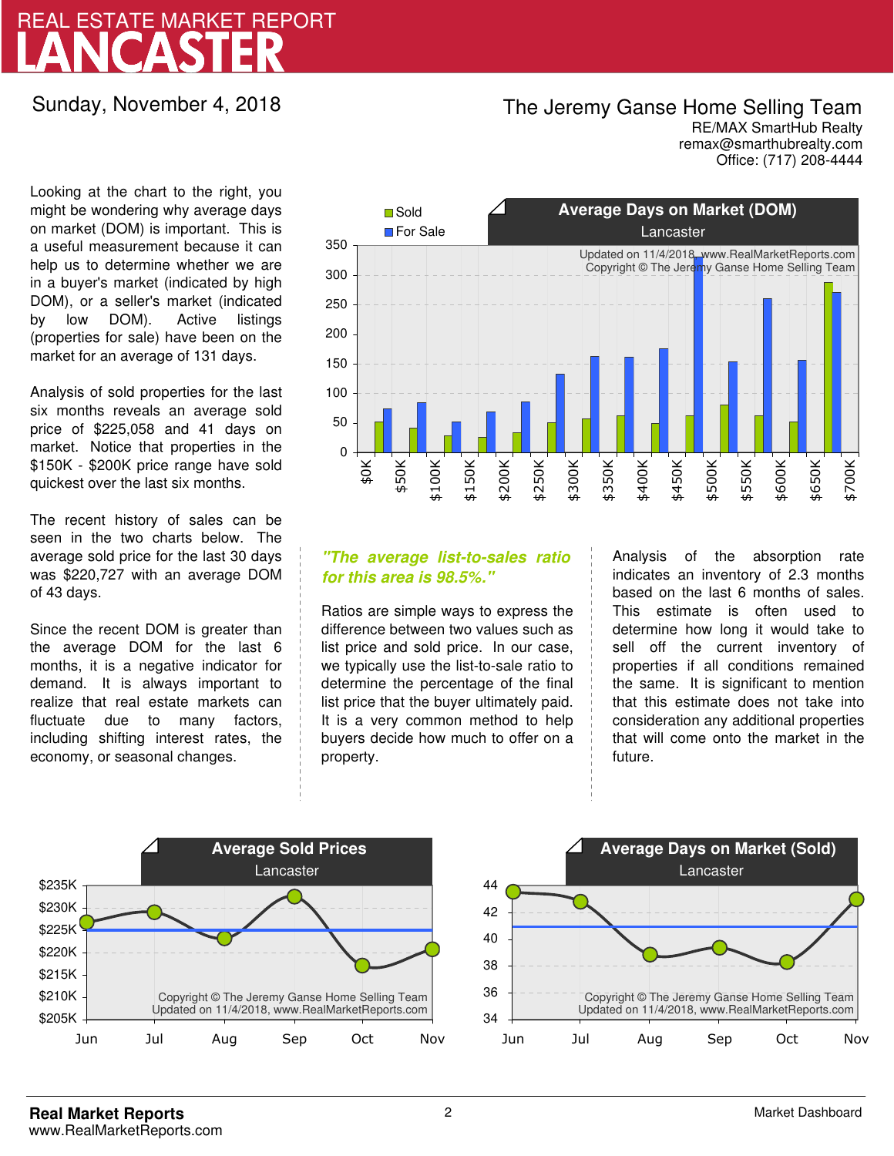# LANCASTER REAL ESTATE MARKET REPORT

Sunday, November 4, 2018

## The Jeremy Ganse Home Selling Team

remax@smarthubrealty.com RE/MAX SmartHub Realty Office: (717) 208-4444

Looking at the chart to the right, you might be wondering why average days on market (DOM) is important. This is a useful measurement because it can help us to determine whether we are in a buyer's market (indicated by high DOM), or a seller's market (indicated by low DOM). Active listings (properties for sale) have been on the market for an average of 131 days.

Analysis of sold properties for the last six months reveals an average sold price of \$225,058 and 41 days on market. Notice that properties in the \$150K - \$200K price range have sold quickest over the last six months.

The recent history of sales can be seen in the two charts below. The average sold price for the last 30 days was \$220,727 with an average DOM of 43 days.

Since the recent DOM is greater than the average DOM for the last 6 months, it is a negative indicator for demand. It is always important to realize that real estate markets can fluctuate due to many factors, including shifting interest rates, the economy, or seasonal changes.



### **"The average list-to-sales ratio for this area is 98.5%."**

Ratios are simple ways to express the difference between two values such as list price and sold price. In our case, we typically use the list-to-sale ratio to determine the percentage of the final list price that the buyer ultimately paid. It is a very common method to help buyers decide how much to offer on a property.

Analysis of the absorption rate indicates an inventory of 2.3 months based on the last 6 months of sales. This estimate is often used to determine how long it would take to sell off the current inventory of properties if all conditions remained the same. It is significant to mention that this estimate does not take into consideration any additional properties that will come onto the market in the future.



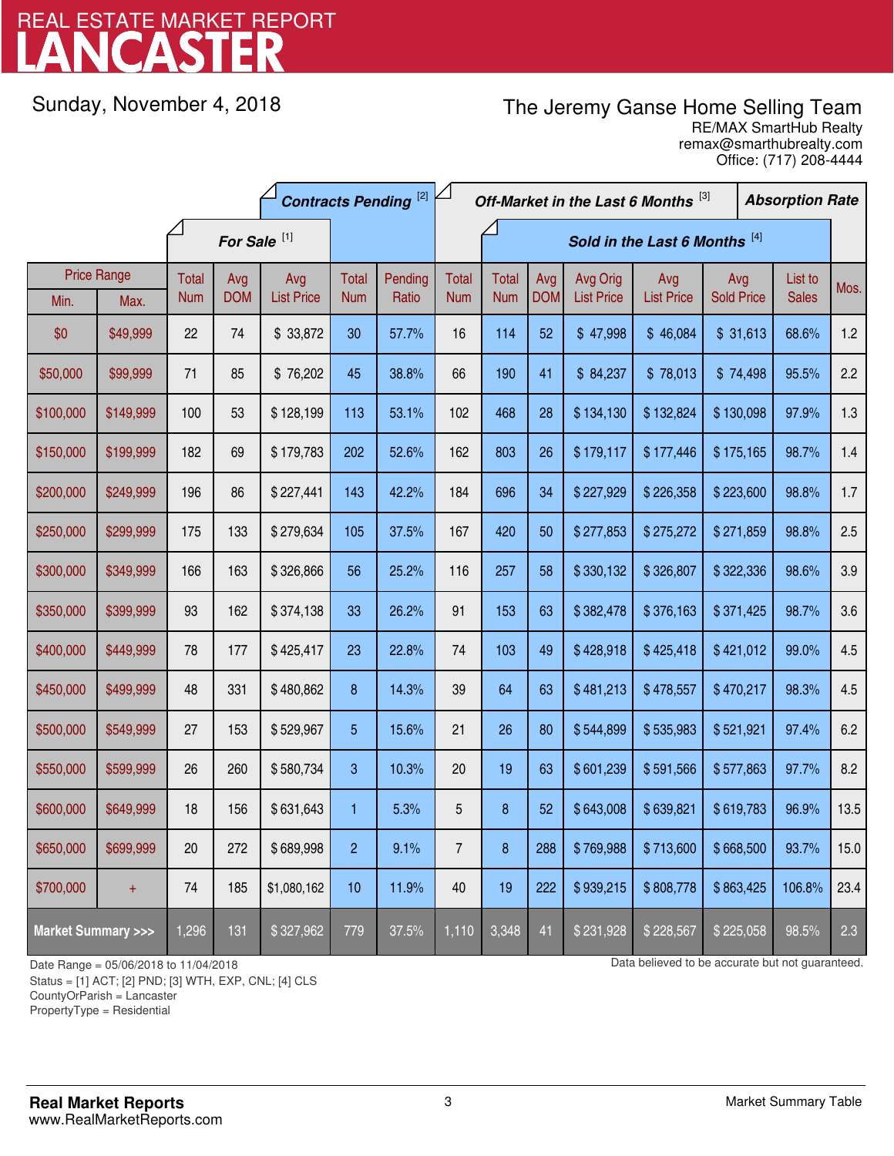# LANCASTER REAL ESTATE MARKET REPORT

Sunday, November 4, 2018

## The Jeremy Ganse Home Selling Team

remax@smarthubrealty.com RE/MAX SmartHub Realty Office: (717) 208-4444

|                                    |                    | <b>Contracts Pending [2]</b> |            |                   |                | Off-Market in the Last 6 Months [3] |                |              |            |                   | <b>Absorption Rate</b> |                   |  |              |      |
|------------------------------------|--------------------|------------------------------|------------|-------------------|----------------|-------------------------------------|----------------|--------------|------------|-------------------|------------------------|-------------------|--|--------------|------|
|                                    |                    | For Sale <sup>[1]</sup>      |            |                   |                | Sold in the Last 6 Months [4]       |                |              |            |                   |                        |                   |  |              |      |
|                                    | <b>Price Range</b> | <b>Total</b>                 | Avg        | Avg               | Total          | Pending                             | <b>Total</b>   | <b>Total</b> | Avg        | Avg Orig          | Avg                    | Avg               |  | List to      | Mos. |
| Min.                               | Max.               | <b>Num</b>                   | <b>DOM</b> | <b>List Price</b> | <b>Num</b>     | Ratio                               | <b>Num</b>     | <b>Num</b>   | <b>DOM</b> | <b>List Price</b> | <b>List Price</b>      | <b>Sold Price</b> |  | <b>Sales</b> |      |
| \$0                                | \$49,999           | 22                           | 74         | \$33,872          | 30             | 57.7%                               | 16             | 114          | 52         | \$47,998          | \$46,084               | \$31,613          |  | 68.6%        | 1.2  |
| \$50,000                           | \$99,999           | 71                           | 85         | \$76,202          | 45             | 38.8%                               | 66             | 190          | 41         | \$84,237          | \$78,013               | \$74,498          |  | 95.5%        | 2.2  |
| \$100,000                          | \$149,999          | 100                          | 53         | \$128,199         | 113            | 53.1%                               | 102            | 468          | 28         | \$134,130         | \$132,824              | \$130,098         |  | 97.9%        | 1.3  |
| \$150,000                          | \$199,999          | 182                          | 69         | \$179,783         | 202            | 52.6%                               | 162            | 803          | 26         | \$179,117         | \$177,446              | \$175,165         |  | 98.7%        | 1.4  |
| \$200,000                          | \$249,999          | 196                          | 86         | \$227,441         | 143            | 42.2%                               | 184            | 696          | 34         | \$227,929         | \$226,358              | \$223,600         |  | 98.8%        | 1.7  |
| \$250,000                          | \$299,999          | 175                          | 133        | \$279,634         | 105            | 37.5%                               | 167            | 420          | 50         | \$277,853         | \$275,272              | \$271,859         |  | 98.8%        | 2.5  |
| \$300,000                          | \$349,999          | 166                          | 163        | \$326,866         | 56             | 25.2%                               | 116            | 257          | 58         | \$330,132         | \$326,807              | \$322,336         |  | 98.6%        | 3.9  |
| \$350,000                          | \$399,999          | 93                           | 162        | \$374,138         | 33             | 26.2%                               | 91             | 153          | 63         | \$382,478         | \$376,163              | \$371,425         |  | 98.7%        | 3.6  |
| \$400,000                          | \$449,999          | 78                           | 177        | \$425,417         | 23             | 22.8%                               | 74             | 103          | 49         | \$428,918         | \$425,418              | \$421,012         |  | 99.0%        | 4.5  |
| \$450,000                          | \$499,999          | 48                           | 331        | \$480,862         | 8              | 14.3%                               | 39             | 64           | 63         | \$481,213         | \$478,557              | \$470,217         |  | 98.3%        | 4.5  |
| \$500,000                          | \$549,999          | 27                           | 153        | \$529,967         | 5              | 15.6%                               | 21             | 26           | 80         | \$544,899         | \$535,983              | \$521,921         |  | 97.4%        | 6.2  |
| \$550,000                          | \$599,999          | 26                           | 260        | \$580,734         | 3              | 10.3%                               | 20             | 19           | 63         | \$601,239         | \$591,566              | \$577,863         |  | 97.7%        | 8.2  |
| \$600,000                          | \$649,999          | 18                           | 156        | \$631,643         | 1              | 5.3%                                | 5              | $\bf 8$      | 52         | \$643,008         | \$639,821              | \$619,783         |  | 96.9%        | 13.5 |
| \$650,000                          | \$699,999          | 20                           | 272        | \$689,998         | $\overline{c}$ | 9.1%                                | $\overline{7}$ | 8            | 288        | \$769,988         | \$713,600              | \$668,500         |  | 93.7%        | 15.0 |
| \$700,000                          | $+$                | 74                           | 185        | \$1,080,162       | 10             | 11.9%                               | 40             | 19           | 222        | \$939,215         | \$808,778              | \$863,425         |  | 106.8%       | 23.4 |
| <b>Market Summary &gt;&gt;&gt;</b> |                    | 1,296                        | 131        | \$327,962         | 779            | 37.5%                               | 1,110          | 3,348        | 41         | \$231,928         | \$228,567              | \$225,058         |  | 98.5%        | 2.3  |

Status = [1] ACT; [2] PND; [3] WTH, EXP, CNL; [4] CLS

CountyOrParish = Lancaster

PropertyType = Residential

-

Date Range = 05/06/2018 to 11/04/2018 10 11/04/2018